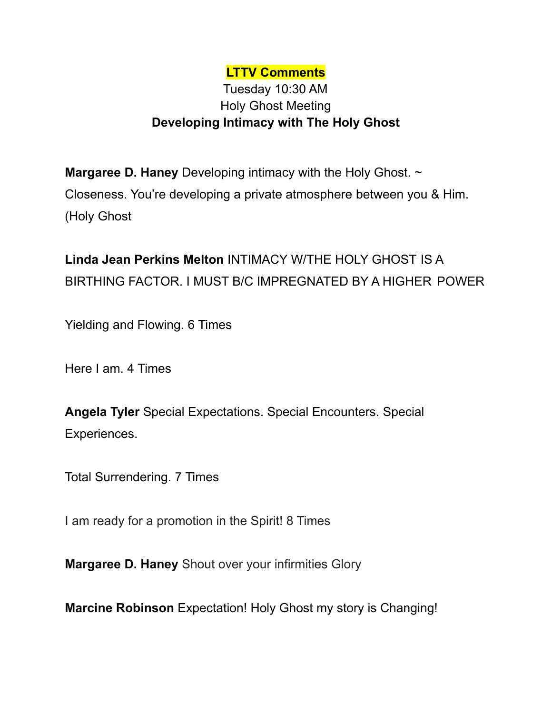## **LTTV Comments**

## Tuesday 10:30 AM Holy Ghost Meeting **Developing Intimacy with The Holy Ghost**

**Margaree D. Haney** Developing intimacy with the Holy Ghost. ~ Closeness. You're developing a private atmosphere between you & Him. (Holy Ghost

**Linda Jean Perkins Melton** INTIMACY W/THE HOLY GHOST IS A BIRTHING FACTOR. I MUST B/C IMPREGNATED BY A HIGHER POWER

Yielding and Flowing. 6 Times

Here I am. 4 Times

**Angela Tyler** Special Expectations. Special Encounters. Special Experiences.

Total Surrendering. 7 Times

I am ready for a promotion in the Spirit! 8 Times

**Margaree D. Haney** Shout over your infirmities Glory

**Marcine Robinson** Expectation! Holy Ghost my story is Changing!